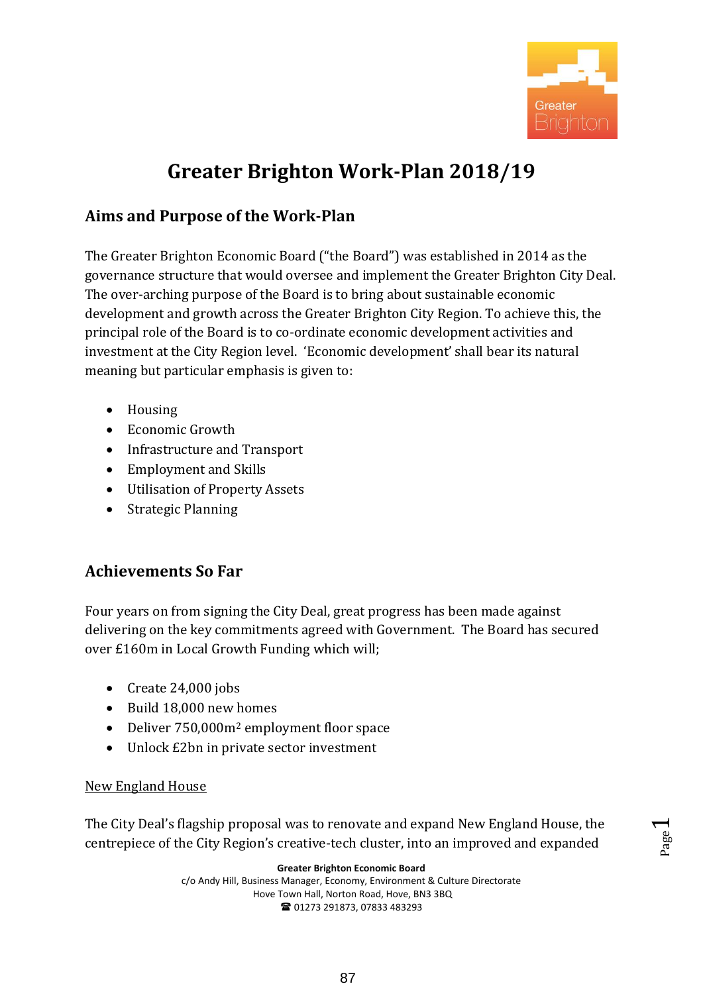

# **Greater Brighton Work-Plan 2018/19**

# **Aims and Purpose of the Work-Plan**

The Greater Brighton Economic Board ("the Board") was established in 2014 as the governance structure that would oversee and implement the Greater Brighton City Deal. The over-arching purpose of the Board is to bring about sustainable economic development and growth across the Greater Brighton City Region. To achieve this, the principal role of the Board is to co-ordinate economic development activities and investment at the City Region level. 'Economic development' shall bear its natural meaning but particular emphasis is given to:

- Housing
- Economic Growth
- Infrastructure and Transport
- Employment and Skills
- Utilisation of Property Assets
- Strategic Planning

# **Achievements So Far**

Four years on from signing the City Deal, great progress has been made against delivering on the key commitments agreed with Government. The Board has secured over £160m in Local Growth Funding which will;

- $\bullet$  Create 24,000 jobs
- Build 18,000 new homes
- Deliver 750,000m<sup>2</sup> employment floor space
- Unlock £2bn in private sector investment

### New England House

The City Deal's flagship proposal was to renovate and expand New England House, the centrepiece of the City Region's creative-tech cluster, into an improved and expanded

**Greater Brighton Economic Board**

c/o Andy Hill, Business Manager, Economy, Environment & Culture Directorate Hove Town Hall, Norton Road, Hove, BN3 3BQ ■ 01273 291873, 07833 483293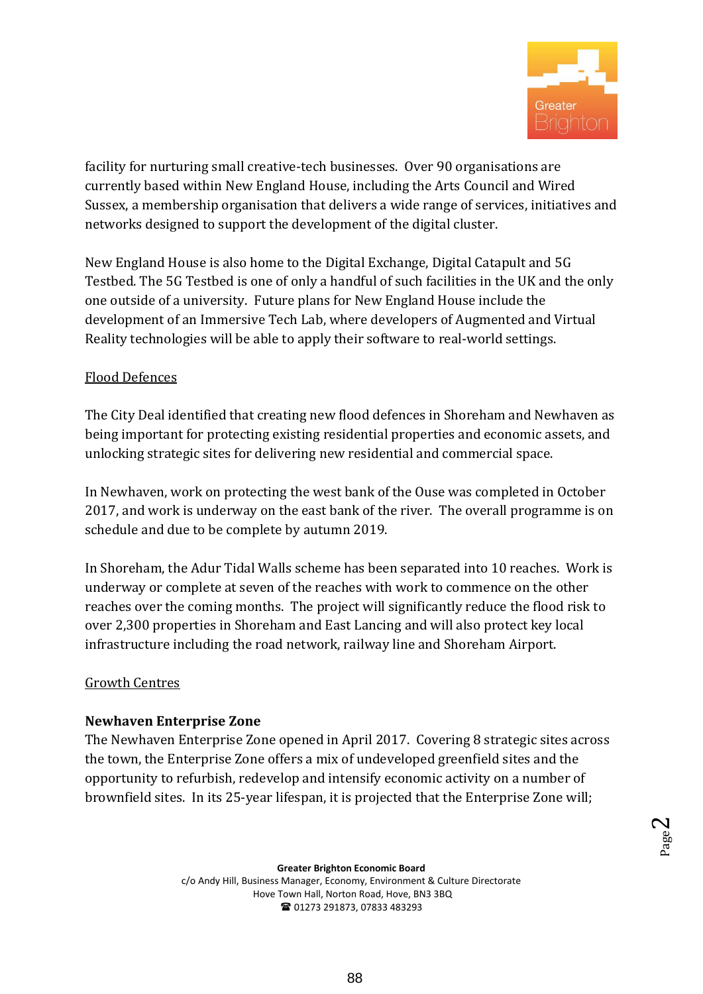

facility for nurturing small creative-tech businesses. Over 90 organisations are currently based within New England House, including the Arts Council and Wired Sussex, a membership organisation that delivers a wide range of services, initiatives and networks designed to support the development of the digital cluster.

New England House is also home to the Digital Exchange, Digital Catapult and 5G Testbed. The 5G Testbed is one of only a handful of such facilities in the UK and the only one outside of a university. Future plans for New England House include the development of an Immersive Tech Lab, where developers of Augmented and Virtual Reality technologies will be able to apply their software to real-world settings.

### Flood Defences

The City Deal identified that creating new flood defences in Shoreham and Newhaven as being important for protecting existing residential properties and economic assets, and unlocking strategic sites for delivering new residential and commercial space.

In Newhaven, work on protecting the west bank of the Ouse was completed in October 2017, and work is underway on the east bank of the river. The overall programme is on schedule and due to be complete by autumn 2019.

In Shoreham, the Adur Tidal Walls scheme has been separated into 10 reaches. Work is underway or complete at seven of the reaches with work to commence on the other reaches over the coming months. The project will significantly reduce the flood risk to over 2,300 properties in Shoreham and East Lancing and will also protect key local infrastructure including the road network, railway line and Shoreham Airport.

#### Growth Centres

#### **Newhaven Enterprise Zone**

The Newhaven Enterprise Zone opened in April 2017. Covering 8 strategic sites across the town, the Enterprise Zone offers a mix of undeveloped greenfield sites and the opportunity to refurbish, redevelop and intensify economic activity on a number of brownfield sites. In its 25-year lifespan, it is projected that the Enterprise Zone will;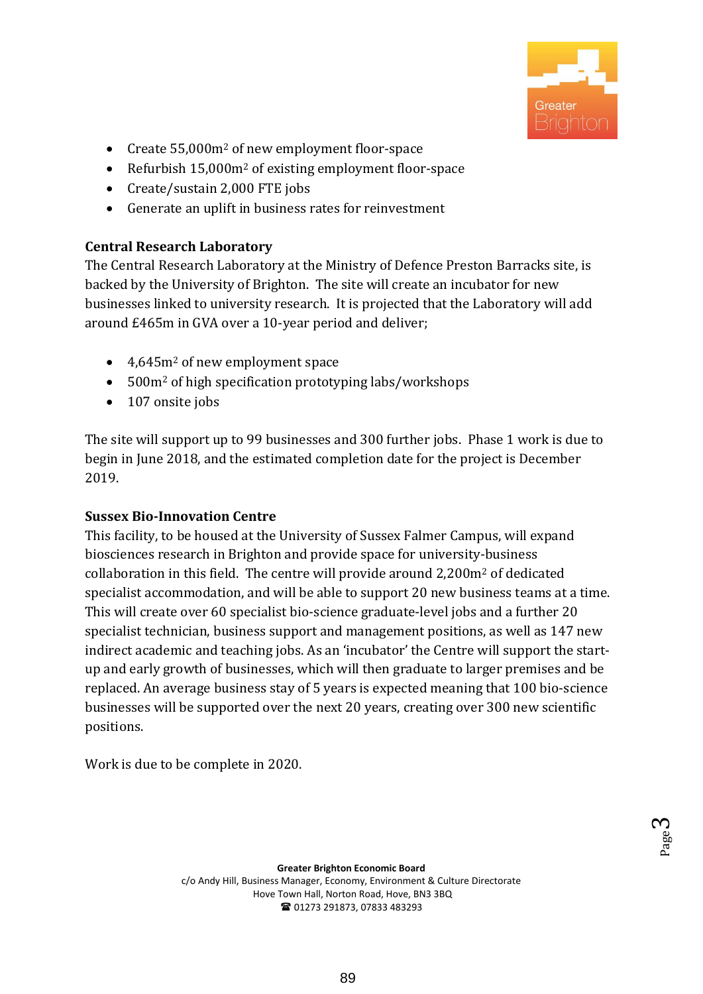

- Create 55,000m<sup>2</sup> of new employment floor-space
- Refurbish 15,000m<sup>2</sup> of existing employment floor-space
- Create/sustain 2,000 FTE jobs
- Generate an uplift in business rates for reinvestment

### **Central Research Laboratory**

The Central Research Laboratory at the Ministry of Defence Preston Barracks site, is backed by the University of Brighton. The site will create an incubator for new businesses linked to university research. It is projected that the Laboratory will add around £465m in GVA over a 10-year period and deliver;

- 4,645m<sup>2</sup> of new employment space
- 500m<sup>2</sup> of high specification prototyping labs/workshops
- 107 onsite jobs

The site will support up to 99 businesses and 300 further jobs. Phase 1 work is due to begin in June 2018, and the estimated completion date for the project is December 2019.

# **Sussex Bio-Innovation Centre**

This facility, to be housed at the University of Sussex Falmer Campus, will expand biosciences research in Brighton and provide space for university-business collaboration in this field. The centre will provide around 2,200m<sup>2</sup> of dedicated specialist accommodation, and will be able to support 20 new business teams at a time. This will create over 60 specialist bio-science graduate-level jobs and a further 20 specialist technician, business support and management positions, as well as 147 new indirect academic and teaching jobs. As an 'incubator' the Centre will support the startup and early growth of businesses, which will then graduate to larger premises and be replaced. An average business stay of 5 years is expected meaning that 100 bio-science businesses will be supported over the next 20 years, creating over 300 new scientific positions.

Work is due to be complete in 2020.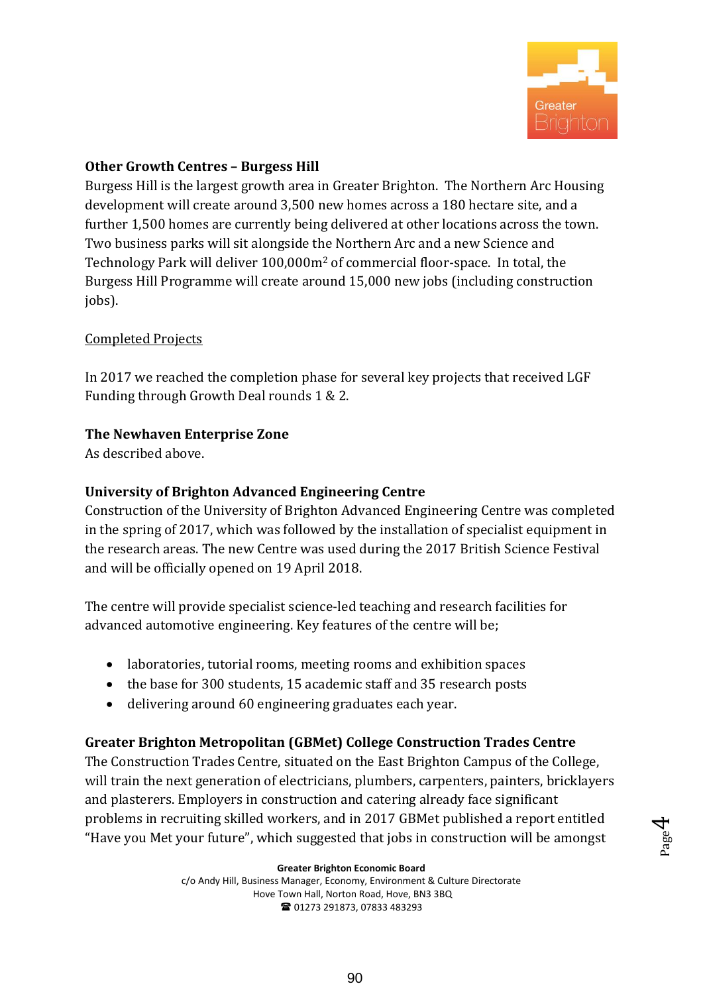

# **Other Growth Centres – Burgess Hill**

Burgess Hill is the largest growth area in Greater Brighton. The Northern Arc Housing development will create around 3,500 new homes across a 180 hectare site, and a further 1,500 homes are currently being delivered at other locations across the town. Two business parks will sit alongside the Northern Arc and a new Science and Technology Park will deliver 100,000m<sup>2</sup> of commercial floor-space. In total, the Burgess Hill Programme will create around 15,000 new jobs (including construction jobs).

### Completed Projects

In 2017 we reached the completion phase for several key projects that received LGF Funding through Growth Deal rounds 1 & 2.

### **The Newhaven Enterprise Zone**

As described above.

# **University of Brighton Advanced Engineering Centre**

Construction of the University of Brighton Advanced Engineering Centre was completed in the spring of 2017, which was followed by the installation of specialist equipment in the research areas. The new Centre was used during the 2017 British Science Festival and will be officially opened on 19 April 2018.

The centre will provide specialist science-led teaching and research facilities for advanced automotive engineering. Key features of the centre will be;

- laboratories, tutorial rooms, meeting rooms and exhibition spaces
- the base for 300 students, 15 academic staff and 35 research posts
- delivering around 60 engineering graduates each year.

# **Greater Brighton Metropolitan (GBMet) College Construction Trades Centre**

The Construction Trades Centre, situated on the East Brighton Campus of the College, will train the next generation of electricians, plumbers, carpenters, painters, bricklayers and plasterers. Employers in construction and catering already face significant problems in recruiting skilled workers, and in 2017 GBMet published a report entitled "Have you Met your future", which suggested that jobs in construction will be amongst

**Greater Brighton Economic Board**

c/o Andy Hill, Business Manager, Economy, Environment & Culture Directorate Hove Town Hall, Norton Road, Hove, BN3 3BQ ■ 01273 291873, 07833 483293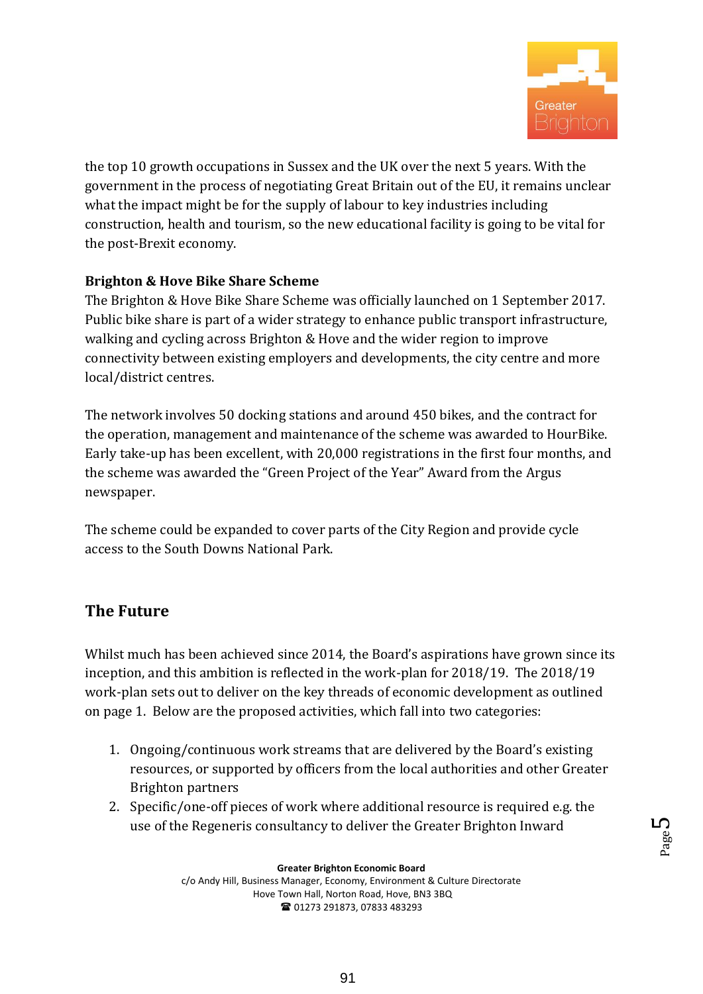

the top 10 growth occupations in Sussex and the UK over the next 5 years. With the government in the process of negotiating Great Britain out of the EU, it remains unclear what the impact might be for the supply of labour to key industries including construction, health and tourism, so the new educational facility is going to be vital for the post-Brexit economy.

# **Brighton & Hove Bike Share Scheme**

The Brighton & Hove Bike Share Scheme was officially launched on 1 September 2017. Public bike share is part of a wider strategy to enhance public transport infrastructure, walking and cycling across Brighton & Hove and the wider region to improve connectivity between existing employers and developments, the city centre and more local/district centres.

The network involves 50 docking stations and around 450 bikes, and the contract for the operation, management and maintenance of the scheme was awarded to HourBike. Early take-up has been excellent, with 20,000 registrations in the first four months, and the scheme was awarded the "Green Project of the Year" Award from the Argus newspaper.

The scheme could be expanded to cover parts of the City Region and provide cycle access to the South Downs National Park.

# **The Future**

Whilst much has been achieved since 2014, the Board's aspirations have grown since its inception, and this ambition is reflected in the work-plan for 2018/19. The 2018/19 work-plan sets out to deliver on the key threads of economic development as outlined on page 1. Below are the proposed activities, which fall into two categories:

- 1. Ongoing/continuous work streams that are delivered by the Board's existing resources, or supported by officers from the local authorities and other Greater Brighton partners
- 2. Specific/one-off pieces of work where additional resource is required e.g. the use of the Regeneris consultancy to deliver the Greater Brighton Inward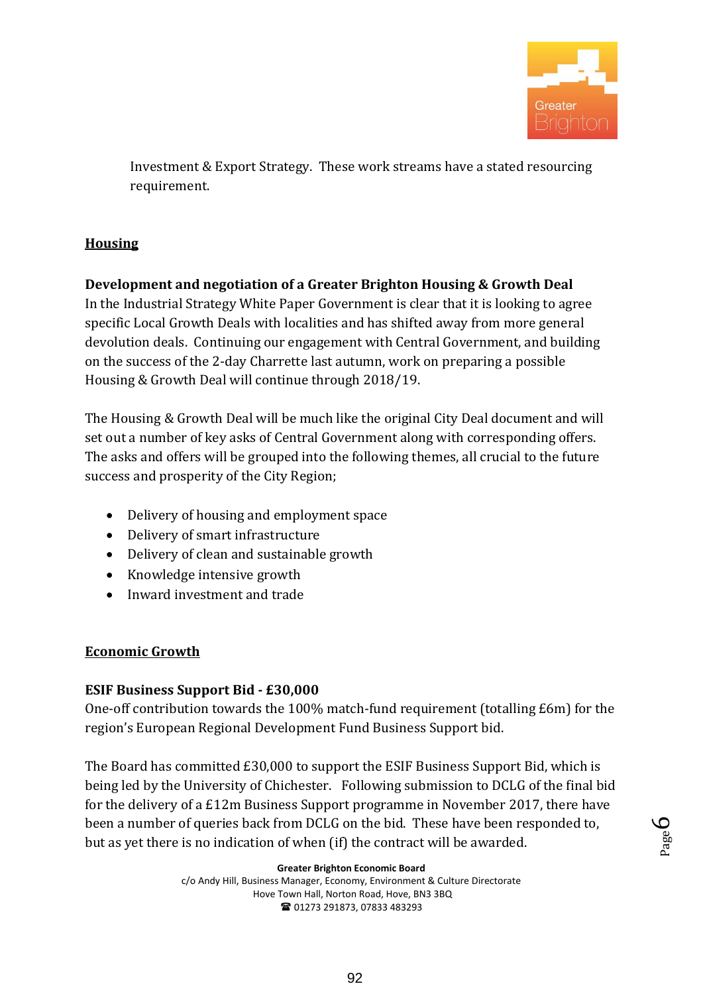

Investment & Export Strategy. These work streams have a stated resourcing requirement.

# **Housing**

**Development and negotiation of a Greater Brighton Housing & Growth Deal**  In the Industrial Strategy White Paper Government is clear that it is looking to agree specific Local Growth Deals with localities and has shifted away from more general devolution deals. Continuing our engagement with Central Government, and building on the success of the 2-day Charrette last autumn, work on preparing a possible Housing & Growth Deal will continue through 2018/19.

The Housing & Growth Deal will be much like the original City Deal document and will set out a number of key asks of Central Government along with corresponding offers. The asks and offers will be grouped into the following themes, all crucial to the future success and prosperity of the City Region;

- Delivery of housing and employment space
- Delivery of smart infrastructure
- Delivery of clean and sustainable growth
- Knowledge intensive growth
- Inward investment and trade

# **Economic Growth**

# **ESIF Business Support Bid - £30,000**

One-off contribution towards the 100% match-fund requirement (totalling £6m) for the region's European Regional Development Fund Business Support bid.

The Board has committed £30,000 to support the ESIF Business Support Bid, which is being led by the University of Chichester. Following submission to DCLG of the final bid for the delivery of a £12m Business Support programme in November 2017, there have been a number of queries back from DCLG on the bid. These have been responded to, but as yet there is no indication of when (if) the contract will be awarded.

**Greater Brighton Economic Board**

c/o Andy Hill, Business Manager, Economy, Environment & Culture Directorate Hove Town Hall, Norton Road, Hove, BN3 3BQ ■ 01273 291873, 07833 483293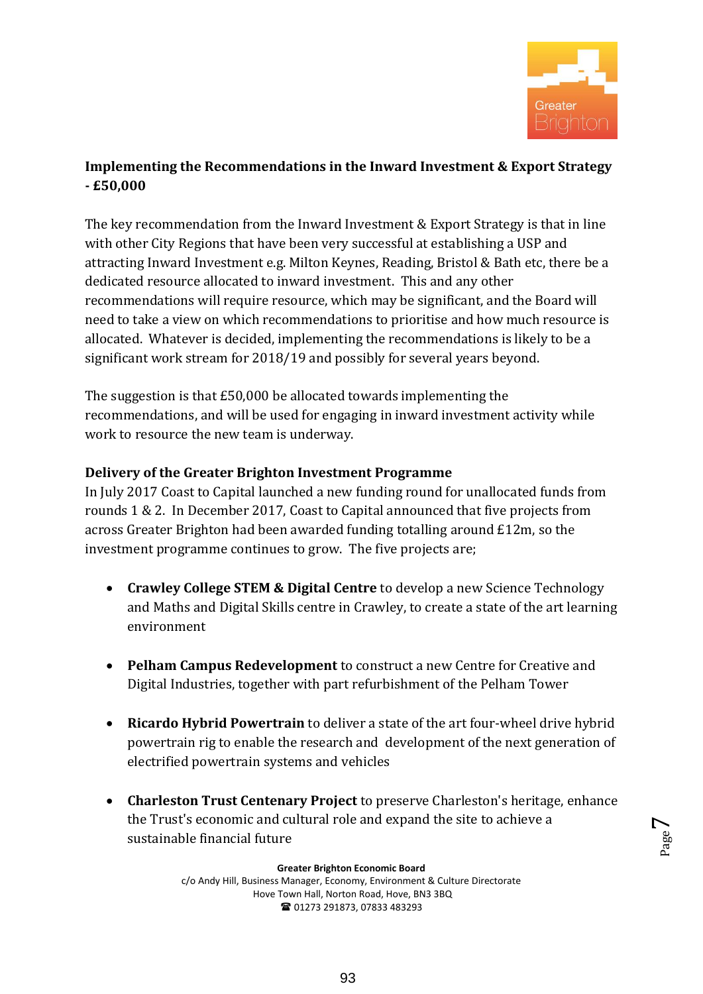

# **Implementing the Recommendations in the Inward Investment & Export Strategy - £50,000**

The key recommendation from the Inward Investment & Export Strategy is that in line with other City Regions that have been very successful at establishing a USP and attracting Inward Investment e.g. Milton Keynes, Reading, Bristol & Bath etc, there be a dedicated resource allocated to inward investment. This and any other recommendations will require resource, which may be significant, and the Board will need to take a view on which recommendations to prioritise and how much resource is allocated. Whatever is decided, implementing the recommendations is likely to be a significant work stream for 2018/19 and possibly for several years beyond.

The suggestion is that £50,000 be allocated towards implementing the recommendations, and will be used for engaging in inward investment activity while work to resource the new team is underway.

# **Delivery of the Greater Brighton Investment Programme**

In July 2017 Coast to Capital launched a new funding round for unallocated funds from rounds 1 & 2. In December 2017, Coast to Capital announced that five projects from across Greater Brighton had been awarded funding totalling around £12m, so the investment programme continues to grow. The five projects are;

- **Crawley College STEM & Digital Centre** to develop a new Science Technology and Maths and Digital Skills centre in Crawley, to create a state of the art learning environment
- **Pelham Campus Redevelopment** to construct a new Centre for Creative and Digital Industries, together with part refurbishment of the Pelham Tower
- **Ricardo Hybrid Powertrain** to deliver a state of the art four-wheel drive hybrid powertrain rig to enable the research and development of the next generation of electrified powertrain systems and vehicles
- **Charleston Trust Centenary Project** to preserve Charleston's heritage, enhance the Trust's economic and cultural role and expand the site to achieve a sustainable financial future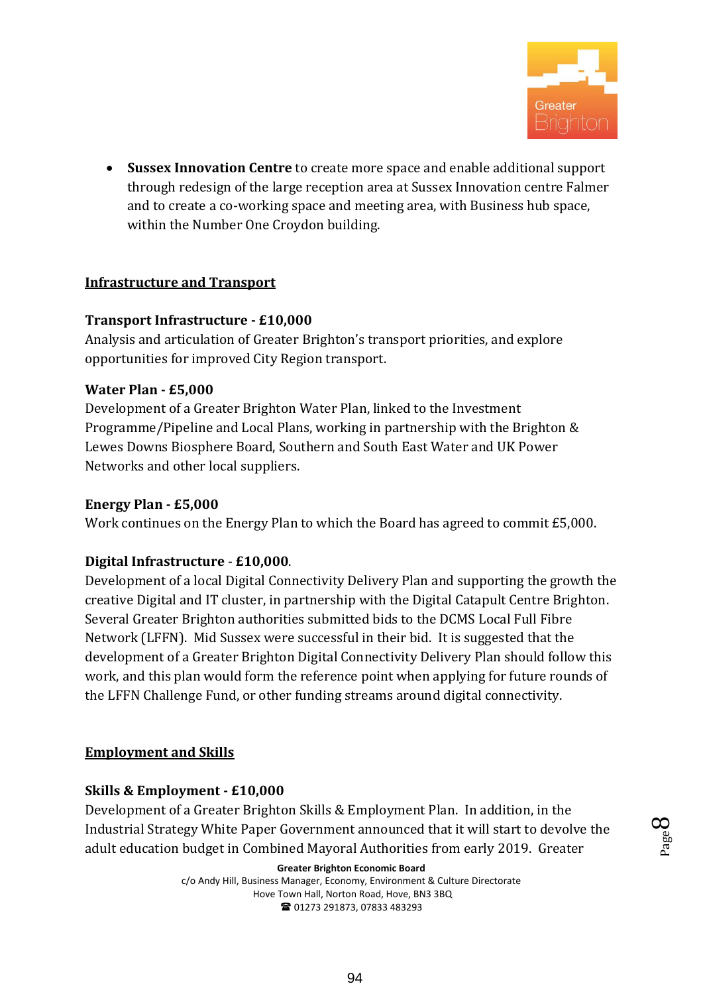

 **Sussex Innovation Centre** to create more space and enable additional support through redesign of the large reception area at Sussex Innovation centre Falmer and to create a co-working space and meeting area, with Business hub space, within the Number One Croydon building.

### **Infrastructure and Transport**

### **Transport Infrastructure - £10,000**

Analysis and articulation of Greater Brighton's transport priorities, and explore opportunities for improved City Region transport.

### **Water Plan - £5,000**

Development of a Greater Brighton Water Plan, linked to the Investment Programme/Pipeline and Local Plans, working in partnership with the Brighton & Lewes Downs Biosphere Board, Southern and South East Water and UK Power Networks and other local suppliers.

### **Energy Plan - £5,000**

Work continues on the Energy Plan to which the Board has agreed to commit £5,000.

### **Digital Infrastructure** - **£10,000**.

Development of a local Digital Connectivity Delivery Plan and supporting the growth the creative Digital and IT cluster, in partnership with the Digital Catapult Centre Brighton. Several Greater Brighton authorities submitted bids to the DCMS Local Full Fibre Network (LFFN). Mid Sussex were successful in their bid. It is suggested that the development of a Greater Brighton Digital Connectivity Delivery Plan should follow this work, and this plan would form the reference point when applying for future rounds of the LFFN Challenge Fund, or other funding streams around digital connectivity.

### **Employment and Skills**

### **Skills & Employment - £10,000**

Development of a Greater Brighton Skills & Employment Plan. In addition, in the Industrial Strategy White Paper Government announced that it will start to devolve the adult education budget in Combined Mayoral Authorities from early 2019. Greater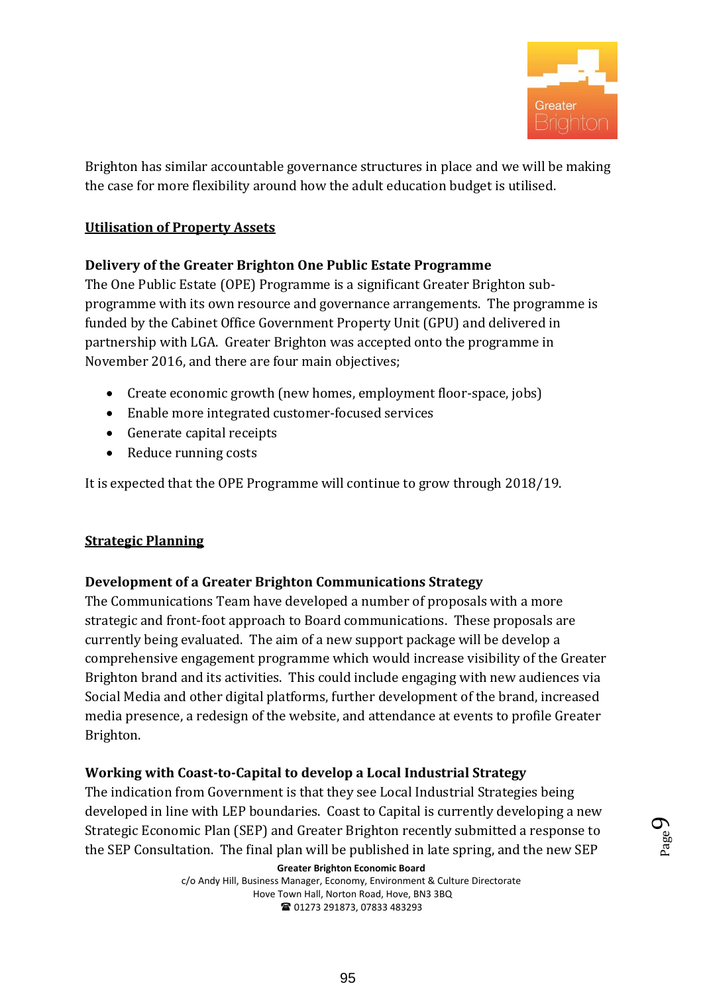

Brighton has similar accountable governance structures in place and we will be making the case for more flexibility around how the adult education budget is utilised.

### **Utilisation of Property Assets**

### **Delivery of the Greater Brighton One Public Estate Programme**

The One Public Estate (OPE) Programme is a significant Greater Brighton subprogramme with its own resource and governance arrangements. The programme is funded by the Cabinet Office Government Property Unit (GPU) and delivered in partnership with LGA. Greater Brighton was accepted onto the programme in November 2016, and there are four main objectives;

- Create economic growth (new homes, employment floor-space, jobs)
- Enable more integrated customer-focused services
- Generate capital receipts
- Reduce running costs

It is expected that the OPE Programme will continue to grow through 2018/19.

### **Strategic Planning**

### **Development of a Greater Brighton Communications Strategy**

The Communications Team have developed a number of proposals with a more strategic and front-foot approach to Board communications. These proposals are currently being evaluated. The aim of a new support package will be develop a comprehensive engagement programme which would increase visibility of the Greater Brighton brand and its activities. This could include engaging with new audiences via Social Media and other digital platforms, further development of the brand, increased media presence, a redesign of the website, and attendance at events to profile Greater Brighton.

### **Working with Coast-to-Capital to develop a Local Industrial Strategy**

The indication from Government is that they see Local Industrial Strategies being developed in line with LEP boundaries. Coast to Capital is currently developing a new Strategic Economic Plan (SEP) and Greater Brighton recently submitted a response to the SEP Consultation. The final plan will be published in late spring, and the new SEP